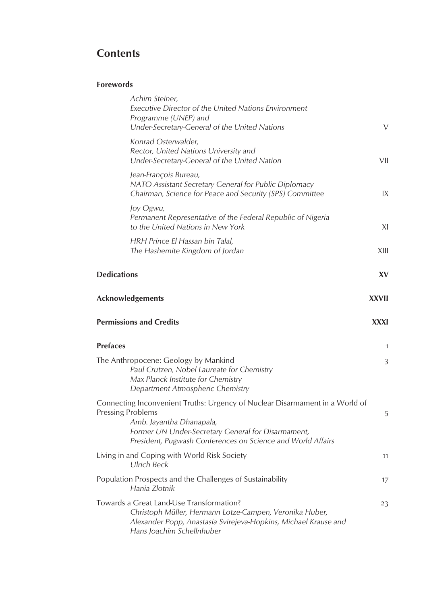# **Contents**

## **Forewords**

|                          | Achim Steiner,<br>Executive Director of the United Nations Environment<br>Programme (UNEP) and<br>Under-Secretary-General of the United Nations                                                                               | V           |
|--------------------------|-------------------------------------------------------------------------------------------------------------------------------------------------------------------------------------------------------------------------------|-------------|
|                          | Konrad Osterwalder,<br>Rector, United Nations University and<br>Under-Secretary-General of the United Nation                                                                                                                  | VII         |
|                          | Jean-François Bureau,<br>NATO Assistant Secretary General for Public Diplomacy<br>Chairman, Science for Peace and Security (SPS) Committee                                                                                    | IX          |
|                          | Joy Ogwu,<br>Permanent Representative of the Federal Republic of Nigeria<br>to the United Nations in New York                                                                                                                 | XI          |
|                          | HRH Prince El Hassan bin Talal,<br>The Hashemite Kingdom of Jordan                                                                                                                                                            | XIII        |
| <b>Dedications</b>       |                                                                                                                                                                                                                               | XV          |
|                          | Acknowledgements                                                                                                                                                                                                              | XXVII       |
|                          | <b>Permissions and Credits</b>                                                                                                                                                                                                | <b>XXXI</b> |
| <b>Prefaces</b>          |                                                                                                                                                                                                                               | 1           |
|                          | The Anthropocene: Geology by Mankind<br>Paul Crutzen, Nobel Laureate for Chemistry<br>Max Planck Institute for Chemistry<br>Department Atmospheric Chemistry                                                                  | 3           |
| <b>Pressing Problems</b> | Connecting Inconvenient Truths: Urgency of Nuclear Disarmament in a World of<br>Amb. Jayantha Dhanapala,<br>Former UN Under-Secretary General for Disarmament,<br>President, Pugwash Conferences on Science and World Affairs | 5           |
|                          | Living in and Coping with World Risk Society<br><b>Ulrich Beck</b>                                                                                                                                                            | 11          |
|                          | Population Prospects and the Challenges of Sustainability<br>Hania Zlotnik                                                                                                                                                    | 17          |
|                          | Towards a Great Land-Use Transformation?<br>Christoph Müller, Hermann Lotze-Campen, Veronika Huber,<br>Alexander Popp, Anastasia Svirejeva-Hopkins, Michael Krause and<br>Hans Joachim Schellnhuber                           | 23          |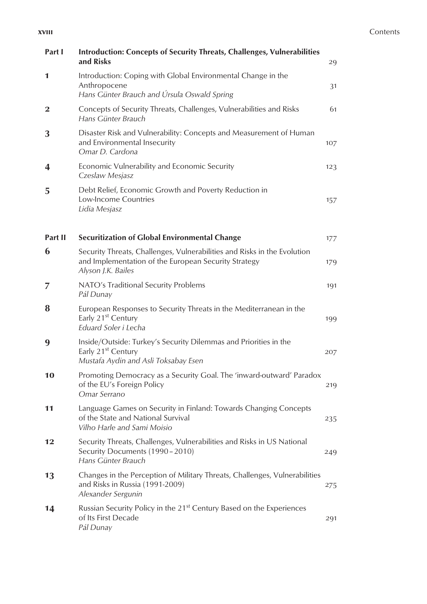| Part I      | <b>Introduction: Concepts of Security Threats, Challenges, Vulnerabilities</b><br>and Risks                                                            | 29  |
|-------------|--------------------------------------------------------------------------------------------------------------------------------------------------------|-----|
| 1           | Introduction: Coping with Global Environmental Change in the<br>Anthropocene<br>Hans Günter Brauch and Úrsula Oswald Spring                            | 31  |
| $\mathbf 2$ | Concepts of Security Threats, Challenges, Vulnerabilities and Risks<br>Hans Günter Brauch                                                              | 61  |
| 3           | Disaster Risk and Vulnerability: Concepts and Measurement of Human<br>and Environmental Insecurity<br>Omar D. Cardona                                  | 107 |
| 4           | Economic Vulnerability and Economic Security<br>Czeslaw Mesjasz                                                                                        | 123 |
| 5           | Debt Relief, Economic Growth and Poverty Reduction in<br>Low-Income Countries<br>Lidia Mesjasz                                                         | 157 |
| Part II     | <b>Securitization of Global Environmental Change</b>                                                                                                   | 177 |
| 6           | Security Threats, Challenges, Vulnerabilities and Risks in the Evolution<br>and Implementation of the European Security Strategy<br>Alyson J.K. Bailes | 179 |
| 7           | NATO's Traditional Security Problems<br>Pál Dunay                                                                                                      | 191 |
| 8           | European Responses to Security Threats in the Mediterranean in the<br>Early 21 <sup>st</sup> Century<br>Eduard Soler i Lecha                           | 199 |
| 9           | Inside/Outside: Turkey's Security Dilemmas and Priorities in the<br>Early 21 <sup>st</sup> Century<br>Mustafa Aydin and Asli Toksabay Esen             | 207 |
| 10          | Promoting Democracy as a Security Goal. The 'inward-outward' Paradox<br>of the EU's Foreign Policy<br>Omar Serrano                                     | 219 |
| 11          | Language Games on Security in Finland: Towards Changing Concepts<br>of the State and National Survival<br>Vilho Harle and Sami Moisio                  | 235 |
| 12          | Security Threats, Challenges, Vulnerabilities and Risks in US National<br>Security Documents (1990 - 2010)<br>Hans Günter Brauch                       | 249 |
| 13          | Changes in the Perception of Military Threats, Challenges, Vulnerabilities<br>and Risks in Russia (1991-2009)<br>Alexander Sergunin                    | 275 |
| 14          | Russian Security Policy in the 21 <sup>st</sup> Century Based on the Experiences<br>of Its First Decade<br>Pál Dunay                                   | 291 |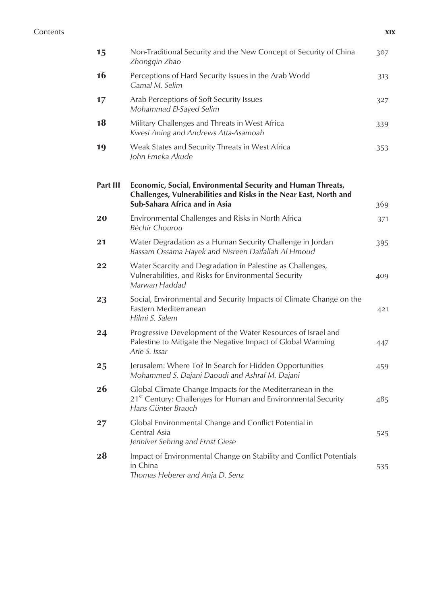#### Contents **xix**

| 15              | Non-Traditional Security and the New Concept of Security of China<br>Zhongqin Zhao                                                                                | 307 |
|-----------------|-------------------------------------------------------------------------------------------------------------------------------------------------------------------|-----|
| 16              | Perceptions of Hard Security Issues in the Arab World<br>Gamal M. Selim                                                                                           | 313 |
| 17              | Arab Perceptions of Soft Security Issues<br>Mohammad El-Sayed Selim                                                                                               | 327 |
| 18              | Military Challenges and Threats in West Africa<br>Kwesi Aning and Andrews Atta-Asamoah                                                                            | 339 |
| 19              | Weak States and Security Threats in West Africa<br>John Emeka Akude                                                                                               | 353 |
| <b>Part III</b> | Economic, Social, Environmental Security and Human Threats,<br>Challenges, Vulnerabilities and Risks in the Near East, North and<br>Sub-Sahara Africa and in Asia | 369 |
| 20              | Environmental Challenges and Risks in North Africa<br>Béchir Chourou                                                                                              | 371 |
| 21              | Water Degradation as a Human Security Challenge in Jordan<br>Bassam Ossama Hayek and Nisreen Daifallah Al Hmoud                                                   | 395 |
| 22              | Water Scarcity and Degradation in Palestine as Challenges,<br>Vulnerabilities, and Risks for Environmental Security<br>Marwan Haddad                              | 409 |
| 23              | Social, Environmental and Security Impacts of Climate Change on the<br>Eastern Mediterranean<br>Hilmi S. Salem                                                    | 421 |
| 24              | Progressive Development of the Water Resources of Israel and<br>Palestine to Mitigate the Negative Impact of Global Warming<br>Arie S. Issar                      | 447 |
| 25              | Jerusalem: Where To? In Search for Hidden Opportunities<br>Mohammed S. Dajani Daoudi and Ashraf M. Dajani                                                         | 459 |
| 26              | Global Climate Change Impacts for the Mediterranean in the<br>21 <sup>st</sup> Century: Challenges for Human and Environmental Security<br>Hans Günter Brauch     | 485 |
| 27              | Global Environmental Change and Conflict Potential in<br>Central Asia<br>Jenniver Sehring and Ernst Giese                                                         | 525 |
| 28              | Impact of Environmental Change on Stability and Conflict Potentials<br>in China<br>Thomas Heberer and Anja D. Senz                                                | 535 |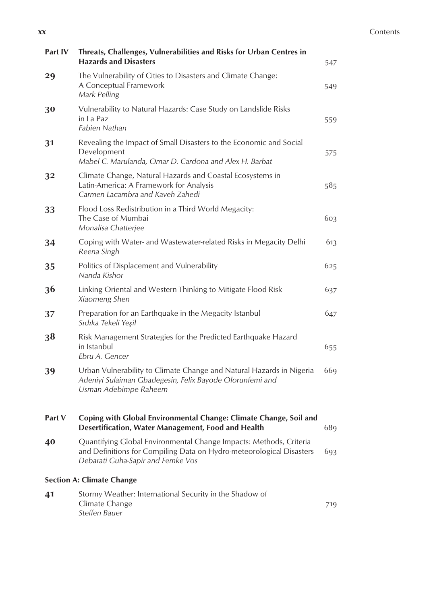#### **xx** Contents

| Part IV | Threats, Challenges, Vulnerabilities and Risks for Urban Centres in<br><b>Hazards and Disasters</b>                                                                             | 547 |
|---------|---------------------------------------------------------------------------------------------------------------------------------------------------------------------------------|-----|
| 29      | The Vulnerability of Cities to Disasters and Climate Change:<br>A Conceptual Framework<br>Mark Pelling                                                                          | 549 |
| 30      | Vulnerability to Natural Hazards: Case Study on Landslide Risks<br>in La Paz<br>Fabien Nathan                                                                                   | 559 |
| 31      | Revealing the Impact of Small Disasters to the Economic and Social<br>Development<br>Mabel C. Marulanda, Omar D. Cardona and Alex H. Barbat                                     | 575 |
| 32      | Climate Change, Natural Hazards and Coastal Ecosystems in<br>Latin-America: A Framework for Analysis<br>Carmen Lacambra and Kaveh Zahedi                                        | 585 |
| 33      | Flood Loss Redistribution in a Third World Megacity:<br>The Case of Mumbai<br>Monalisa Chatterjee                                                                               | 603 |
| 34      | Coping with Water- and Wastewater-related Risks in Megacity Delhi<br>Reena Singh                                                                                                | 613 |
| 35      | Politics of Displacement and Vulnerability<br>Nanda Kishor                                                                                                                      | 625 |
| 36      | Linking Oriental and Western Thinking to Mitigate Flood Risk<br>Xiaomeng Shen                                                                                                   | 637 |
| 37      | Preparation for an Earthquake in the Megacity Istanbul<br>Sıdıka Tekeli Yeşil                                                                                                   | 647 |
| 38      | Risk Management Strategies for the Predicted Earthquake Hazard<br>in Istanbul<br>Ebru A. Gencer                                                                                 | 655 |
| 39      | Urban Vulnerability to Climate Change and Natural Hazards in Nigeria<br>Adeniyi Sulaiman Gbadegesin, Felix Bayode Olorunfemi and<br>Usman Adebimpe Raheem                       | 669 |
| Part V  | Coping with Global Environmental Change: Climate Change, Soil and<br>Desertification, Water Management, Food and Health                                                         | 689 |
| 40      | Quantifying Global Environmental Change Impacts: Methods, Criteria<br>and Definitions for Compiling Data on Hydro-meteorological Disasters<br>Debarati Guha-Sapir and Femke Vos | 693 |
|         | <b>Section A: Climate Change</b>                                                                                                                                                |     |
| 41      | Stormy Weather: International Security in the Shadow of<br>Climate Change<br>Steffen Bauer                                                                                      | 719 |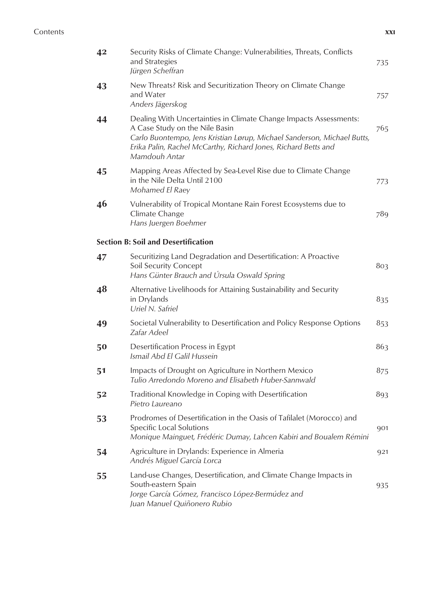## Contents **xxi**

| 42 | Security Risks of Climate Change: Vulnerabilities, Threats, Conflicts<br>and Strategies<br>Jürgen Scheffran                                                                                                                                                       | 735 |
|----|-------------------------------------------------------------------------------------------------------------------------------------------------------------------------------------------------------------------------------------------------------------------|-----|
| 43 | New Threats? Risk and Securitization Theory on Climate Change<br>and Water<br>Anders Jägerskog                                                                                                                                                                    | 757 |
| 44 | Dealing With Uncertainties in Climate Change Impacts Assessments:<br>A Case Study on the Nile Basin<br>Carlo Buontempo, Jens Kristian Lørup, Michael Sanderson, Michael Butts,<br>Erika Palin, Rachel McCarthy, Richard Jones, Richard Betts and<br>Mamdouh Antar | 765 |
| 45 | Mapping Areas Affected by Sea-Level Rise due to Climate Change<br>in the Nile Delta Until 2100<br>Mohamed El Raey                                                                                                                                                 | 773 |
| 46 | Vulnerability of Tropical Montane Rain Forest Ecosystems due to<br>Climate Change<br>Hans Juergen Boehmer                                                                                                                                                         | 789 |
|    | <b>Section B: Soil and Desertification</b>                                                                                                                                                                                                                        |     |
| 47 | Securitizing Land Degradation and Desertification: A Proactive<br><b>Soil Security Concept</b><br>Hans Günter Brauch and Úrsula Oswald Spring                                                                                                                     | 803 |
| 48 | Alternative Livelihoods for Attaining Sustainability and Security<br>in Drylands<br>Uriel N. Safriel                                                                                                                                                              | 835 |
| 49 | Societal Vulnerability to Desertification and Policy Response Options<br>Zafar Adeel                                                                                                                                                                              | 853 |
| 50 | Desertification Process in Egypt<br>Ismail Abd El Galil Hussein                                                                                                                                                                                                   | 863 |
| 51 | Impacts of Drought on Agriculture in Northern Mexico<br>Tulio Arredondo Moreno and Elisabeth Huber-Sannwald                                                                                                                                                       | 875 |
| 52 | Traditional Knowledge in Coping with Desertification<br>Pietro Laureano                                                                                                                                                                                           | 893 |
| 53 | Prodromes of Desertification in the Oasis of Tafilalet (Morocco) and<br>Specific Local Solutions<br>Monique Mainguet, Frédéric Dumay, Lahcen Kabiri and Boualem Rémini                                                                                            | 901 |
| 54 | Agriculture in Drylands: Experience in Almeria<br>Andrés Miguel García Lorca                                                                                                                                                                                      | 921 |
| 55 | Land-use Changes, Desertification, and Climate Change Impacts in<br>South-eastern Spain<br>Jorge García Gómez, Francisco López-Bermúdez and<br>Juan Manuel Quiñonero Rubio                                                                                        | 935 |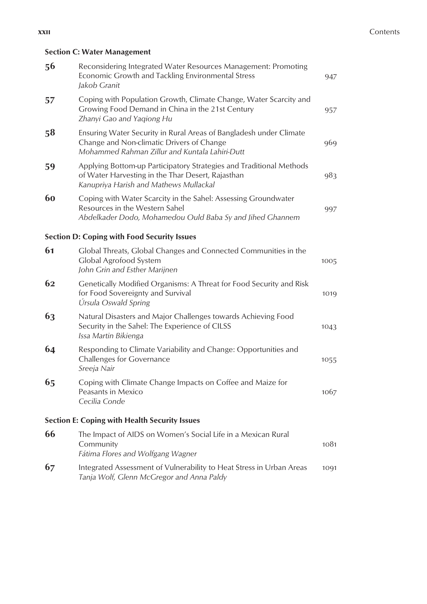## **Section C: Water Management**

| 56 | Reconsidering Integrated Water Resources Management: Promoting<br>Economic Growth and Tackling Environmental Stress<br>Jakob Granit                                | 947  |
|----|--------------------------------------------------------------------------------------------------------------------------------------------------------------------|------|
| 57 | Coping with Population Growth, Climate Change, Water Scarcity and<br>Growing Food Demand in China in the 21st Century<br>Zhanyi Gao and Yaqiong Hu                 | 957  |
| 58 | Ensuring Water Security in Rural Areas of Bangladesh under Climate<br>Change and Non-climatic Drivers of Change<br>Mohammed Rahman Zillur and Kuntala Lahiri-Dutt  | 969  |
| 59 | Applying Bottom-up Participatory Strategies and Traditional Methods<br>of Water Harvesting in the Thar Desert, Rajasthan<br>Kanupriya Harish and Mathews Mullackal | 983  |
| 60 | Coping with Water Scarcity in the Sahel: Assessing Groundwater<br>Resources in the Western Sahel<br>Abdelkader Dodo, Mohamedou Ould Baba Sy and Jihed Ghannem      | 997  |
|    | <b>Section D: Coping with Food Security Issues</b>                                                                                                                 |      |
| 61 | Global Threats, Global Changes and Connected Communities in the<br>Global Agrofood System<br>John Grin and Esther Marijnen                                         | 1005 |
| 62 | Genetically Modified Organisms: A Threat for Food Security and Risk<br>for Food Sovereignty and Survival<br>Úrsula Oswald Spring                                   | 1019 |
| 63 | Natural Disasters and Major Challenges towards Achieving Food<br>Security in the Sahel: The Experience of CILSS<br>Issa Martin Bikienga                            | 1043 |
| 64 | Responding to Climate Variability and Change: Opportunities and<br>Challenges for Governance<br>Sreeja Nair                                                        | 1055 |
| 65 | Coping with Climate Change Impacts on Coffee and Maize for<br>Peasants in Mexico<br>Cecilia Conde                                                                  | 1067 |
|    | <b>Section E: Coping with Health Security Issues</b>                                                                                                               |      |
| 66 | The Impact of AIDS on Women's Social Life in a Mexican Rural<br>Community<br>Fátima Flores and Wolfgang Wagner                                                     | 1081 |
| 67 | Integrated Assessment of Vulnerability to Heat Stress in Urban Areas<br>Tanja Wolf, Glenn McGregor and Anna Paldy                                                  | 1091 |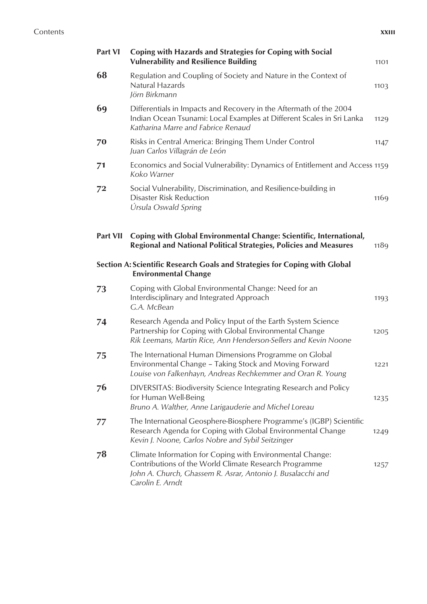| . | - 1<br>- - | - - |
|---|------------|-----|

| Part VI         | Coping with Hazards and Strategies for Coping with Social<br><b>Vulnerability and Resilience Building</b>                                                                                             | 1101 |
|-----------------|-------------------------------------------------------------------------------------------------------------------------------------------------------------------------------------------------------|------|
| 68              | Regulation and Coupling of Society and Nature in the Context of<br>Natural Hazards<br>Jörn Birkmann                                                                                                   | 1103 |
| 69              | Differentials in Impacts and Recovery in the Aftermath of the 2004<br>Indian Ocean Tsunami: Local Examples at Different Scales in Sri Lanka<br>Katharina Marre and Fabrice Renaud                     | 1129 |
| 70              | Risks in Central America: Bringing Them Under Control<br>Juan Carlos Villagrán de León                                                                                                                | 1147 |
| 71              | Economics and Social Vulnerability: Dynamics of Entitlement and Access 1159<br>Koko Warner                                                                                                            |      |
| 72              | Social Vulnerability, Discrimination, and Resilience-building in<br>Disaster Risk Reduction<br>Úrsula Oswald Spring                                                                                   | 1169 |
| <b>Part VII</b> | Coping with Global Environmental Change: Scientific, International,<br>Regional and National Political Strategies, Policies and Measures                                                              | 1189 |
|                 | Section A: Scientific Research Goals and Strategies for Coping with Global<br><b>Environmental Change</b>                                                                                             |      |
| 73              | Coping with Global Environmental Change: Need for an<br>Interdisciplinary and Integrated Approach<br>G.A. McBean                                                                                      | 1193 |
| 74              | Research Agenda and Policy Input of the Earth System Science<br>Partnership for Coping with Global Environmental Change<br>Rik Leemans, Martin Rice, Ann Henderson-Sellers and Kevin Noone            | 1205 |
| 75              | The International Human Dimensions Programme on Global<br>Environmental Change - Taking Stock and Moving Forward<br>Louise von Falkenhayn, Andreas Rechkemmer and Oran R. Young                       | 1221 |
| 76              | DIVERSITAS: Biodiversity Science Integrating Research and Policy<br>for Human Well-Being<br>Bruno A. Walther, Anne Larigauderie and Michel Loreau                                                     | 1235 |
| 77              | The International Geosphere-Biosphere Programme's (IGBP) Scientific<br>Research Agenda for Coping with Global Environmental Change<br>Kevin J. Noone, Carlos Nobre and Sybil Seitzinger               | 1249 |
| 78              | Climate Information for Coping with Environmental Change:<br>Contributions of the World Climate Research Programme<br>John A. Church, Ghassem R. Asrar, Antonio J. Busalacchi and<br>Carolin E. Arndt | 1257 |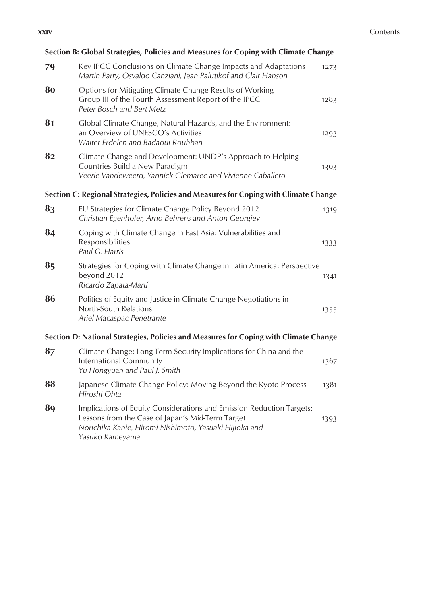# **Section B: Global Strategies, Policies and Measures for Coping with Climate Change**

| 79 | Key IPCC Conclusions on Climate Change Impacts and Adaptations<br>Martin Parry, Osvaldo Canziani, Jean Palutikof and Clair Hanson                                                                      | 1273 |
|----|--------------------------------------------------------------------------------------------------------------------------------------------------------------------------------------------------------|------|
| 80 | Options for Mitigating Climate Change Results of Working<br>Group III of the Fourth Assessment Report of the IPCC<br>Peter Bosch and Bert Metz                                                         | 1283 |
| 81 | Global Climate Change, Natural Hazards, and the Environment:<br>an Overview of UNESCO's Activities<br>Walter Erdelen and Badaoui Rouhban                                                               | 1293 |
| 82 | Climate Change and Development: UNDP's Approach to Helping<br>Countries Build a New Paradigm<br>Veerle Vandeweerd, Yannick Glemarec and Vivienne Caballero                                             | 1303 |
|    | Section C: Regional Strategies, Policies and Measures for Coping with Climate Change                                                                                                                   |      |
| 83 | EU Strategies for Climate Change Policy Beyond 2012<br>Christian Egenhofer, Arno Behrens and Anton Georgiev                                                                                            | 1319 |
| 84 | Coping with Climate Change in East Asia: Vulnerabilities and<br>Responsibilities<br>Paul G. Harris                                                                                                     | 1333 |
| 85 | Strategies for Coping with Climate Change in Latin America: Perspective<br>beyond 2012<br>Ricardo Zapata-Martí                                                                                         | 1341 |
| 86 | Politics of Equity and Justice in Climate Change Negotiations in<br>North-South Relations<br>Ariel Macaspac Penetrante                                                                                 | 1355 |
|    | Section D: National Strategies, Policies and Measures for Coping with Climate Change                                                                                                                   |      |
| 87 | Climate Change: Long-Term Security Implications for China and the<br>International Community<br>Yu Hongyuan and Paul J. Smith                                                                          | 1367 |
| 88 | Japanese Climate Change Policy: Moving Beyond the Kyoto Process<br>Hiroshi Ohta                                                                                                                        | 1381 |
| 89 | Implications of Equity Considerations and Emission Reduction Targets:<br>Lessons from the Case of Japan's Mid-Term Target<br>Norichika Kanie, Hiromi Nishimoto, Yasuaki Hijioka and<br>Yasuko Kameyama | 1393 |